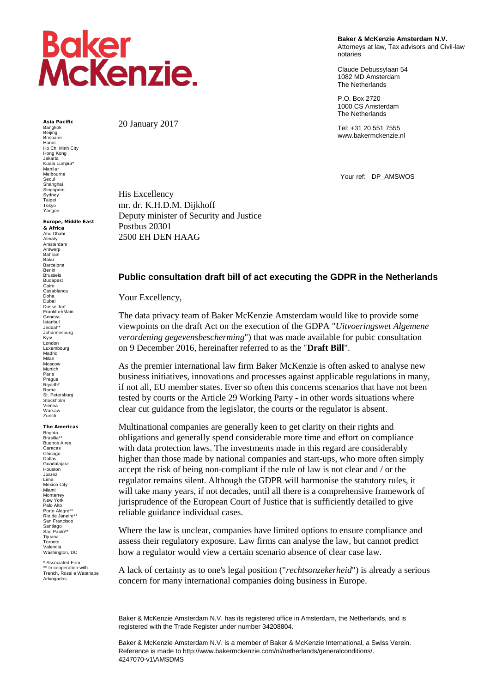## **Baker<br>McKenzie.**

Asia Pacific Bangkok Beijing Brisbane Hanoi Ho Chi Minh City Hong Kong Jakarta Kuala Lumpur\* Manila\* Melbourne Seoul Shanghai Singapore **Sydney** Taipei Tokyo Yangon

Europe, Middle East

& Africa Abu Dhabi Almaty Amsterdam Antwerp Bahrain Baku Barcelona **Barlin** Brussels Budapest Cairo Casablanca Doha Dubai Dusseldorf Frankfurt/Main Geneva Istanbul Jeddah\* Johannesburg Kyiv London Luxembourg Madrid Milan Moscow Munich Paris Prague Riyadh\* Rome St. Petersburg Stockholm Vienna Warsaw Zurich

The Americas

Bogota Brasilia\*\* Buenos Aires Caracas Chicago Dallas Guadalajara Houston Juarez<br>Lima Lima Mexico City Miami Monterrey New York Palo Alto Porto Alegre\*\* Rio de Janeiro\*\* San Francisco Santiago Sao Paulo\*\* Tijuana Toronto Valencia Washington, DC

\* Associated Firm \*\* In cooperation with Trench, Rossi e Watanabe Advogados

20 January 2017

His Excellency

Postbus 20301

mr. dr. K.H.D.M. Dijkhoff

2500 EH DEN HAAG

Deputy minister of Security and Justice

**Baker & McKenzie Amsterdam N.V.** Attorneys at law, Tax advisors and Civil-law notaries

Claude Debussylaan 54 1082 MD Amsterdam The Netherlands

P.O. Box 2720 1000 CS Amsterdam The Netherlands

Tel: +31 20 551 7555 www.bakermckenzie.nl

Your ref: DP\_AMSWOS

## **Public consultation draft bill of act executing the GDPR in the Netherlands**

Your Excellency,

The data privacy team of Baker McKenzie Amsterdam would like to provide some viewpoints on the draft Act on the execution of the GDPA "*Uitvoeringswet Algemene verordening gegevensbescherming*") that was made available for pubic consultation on 9 December 2016, hereinafter referred to as the "**Draft Bill**".

As the premier international law firm Baker McKenzie is often asked to analyse new business initiatives, innovations and processes against applicable regulations in many, if not all, EU member states. Ever so often this concerns scenarios that have not been tested by courts or the Article 29 Working Party - in other words situations where clear cut guidance from the legislator, the courts or the regulator is absent.

Multinational companies are generally keen to get clarity on their rights and obligations and generally spend considerable more time and effort on compliance with data protection laws. The investments made in this regard are considerably higher than those made by national companies and start-ups, who more often simply accept the risk of being non-compliant if the rule of law is not clear and / or the regulator remains silent. Although the GDPR will harmonise the statutory rules, it will take many years, if not decades, until all there is a comprehensive framework of jurisprudence of the European Court of Justice that is sufficiently detailed to give reliable guidance individual cases.

Where the law is unclear, companies have limited options to ensure compliance and assess their regulatory exposure. Law firms can analyse the law, but cannot predict how a regulator would view a certain scenario absence of clear case law.

A lack of certainty as to one's legal position ("*rechtsonzekerheid*") is already a serious concern for many international companies doing business in Europe.

Baker & McKenzie Amsterdam N.V. has its registered office in Amsterdam, the Netherlands, and is registered with the Trade Register under number 34208804.

Baker & McKenzie Amsterdam N.V. is a member of Baker & McKenzie International, a Swiss Verein. Reference is made to http://www.bakermckenzie.com/nl/netherlands/generalconditions/. 4247070-v1\AMSDMS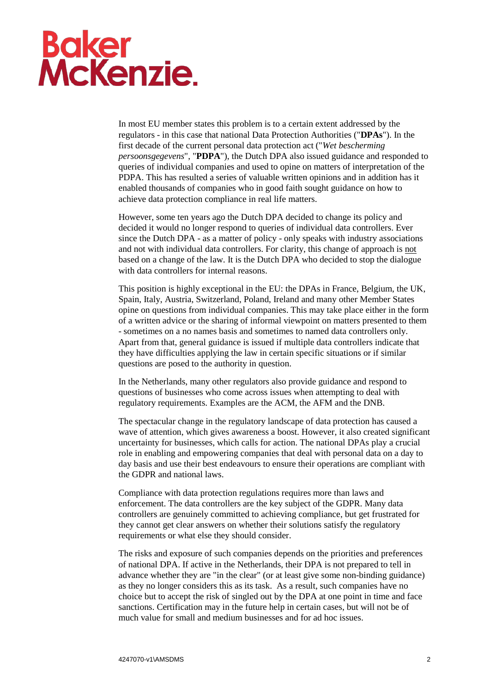## Baker<br>McKenzie.

In most EU member states this problem is to a certain extent addressed by the regulators - in this case that national Data Protection Authorities ("**DPAs**"). In the first decade of the current personal data protection act ("*Wet bescherming persoonsgegevens*", "**PDPA**"), the Dutch DPA also issued guidance and responded to queries of individual companies and used to opine on matters of interpretation of the PDPA. This has resulted a series of valuable written opinions and in addition has it enabled thousands of companies who in good faith sought guidance on how to achieve data protection compliance in real life matters.

However, some ten years ago the Dutch DPA decided to change its policy and decided it would no longer respond to queries of individual data controllers. Ever since the Dutch DPA - as a matter of policy - only speaks with industry associations and not with individual data controllers. For clarity, this change of approach is not based on a change of the law. It is the Dutch DPA who decided to stop the dialogue with data controllers for internal reasons.

This position is highly exceptional in the EU: the DPAs in France, Belgium, the UK, Spain, Italy, Austria, Switzerland, Poland, Ireland and many other Member States opine on questions from individual companies. This may take place either in the form of a written advice or the sharing of informal viewpoint on matters presented to them - sometimes on a no names basis and sometimes to named data controllers only. Apart from that, general guidance is issued if multiple data controllers indicate that they have difficulties applying the law in certain specific situations or if similar questions are posed to the authority in question.

In the Netherlands, many other regulators also provide guidance and respond to questions of businesses who come across issues when attempting to deal with regulatory requirements. Examples are the ACM, the AFM and the DNB.

The spectacular change in the regulatory landscape of data protection has caused a wave of attention, which gives awareness a boost. However, it also created significant uncertainty for businesses, which calls for action. The national DPAs play a crucial role in enabling and empowering companies that deal with personal data on a day to day basis and use their best endeavours to ensure their operations are compliant with the GDPR and national laws.

Compliance with data protection regulations requires more than laws and enforcement. The data controllers are the key subject of the GDPR. Many data controllers are genuinely committed to achieving compliance, but get frustrated for they cannot get clear answers on whether their solutions satisfy the regulatory requirements or what else they should consider.

The risks and exposure of such companies depends on the priorities and preferences of national DPA. If active in the Netherlands, their DPA is not prepared to tell in advance whether they are "in the clear" (or at least give some non-binding guidance) as they no longer considers this as its task. As a result, such companies have no choice but to accept the risk of singled out by the DPA at one point in time and face sanctions. Certification may in the future help in certain cases, but will not be of much value for small and medium businesses and for ad hoc issues.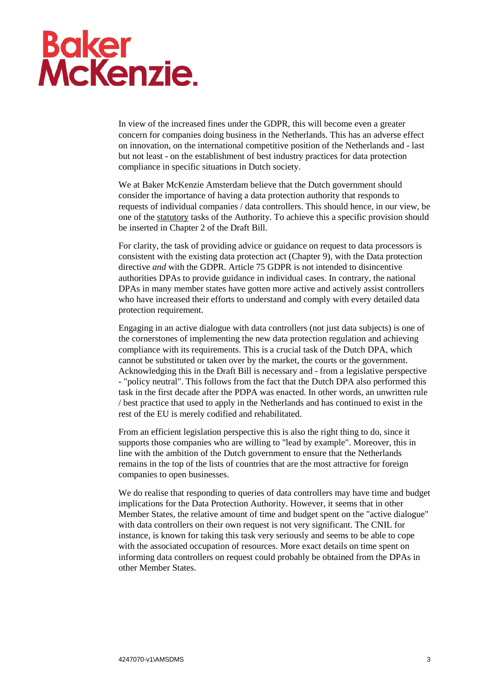## **Baker<br>McKenzie.**

In view of the increased fines under the GDPR, this will become even a greater concern for companies doing business in the Netherlands. This has an adverse effect on innovation, on the international competitive position of the Netherlands and - last but not least - on the establishment of best industry practices for data protection compliance in specific situations in Dutch society.

We at Baker McKenzie Amsterdam believe that the Dutch government should consider the importance of having a data protection authority that responds to requests of individual companies / data controllers. This should hence, in our view, be one of the statutory tasks of the Authority. To achieve this a specific provision should be inserted in Chapter 2 of the Draft Bill.

For clarity, the task of providing advice or guidance on request to data processors is consistent with the existing data protection act (Chapter 9), with the Data protection directive *and* with the GDPR. Article 75 GDPR is not intended to disincentive authorities DPAs to provide guidance in individual cases. In contrary, the national DPAs in many member states have gotten more active and actively assist controllers who have increased their efforts to understand and comply with every detailed data protection requirement.

Engaging in an active dialogue with data controllers (not just data subjects) is one of the cornerstones of implementing the new data protection regulation and achieving compliance with its requirements. This is a crucial task of the Dutch DPA, which cannot be substituted or taken over by the market, the courts or the government. Acknowledging this in the Draft Bill is necessary and - from a legislative perspective - "policy neutral". This follows from the fact that the Dutch DPA also performed this task in the first decade after the PDPA was enacted. In other words, an unwritten rule / best practice that used to apply in the Netherlands and has continued to exist in the rest of the EU is merely codified and rehabilitated.

From an efficient legislation perspective this is also the right thing to do, since it supports those companies who are willing to "lead by example". Moreover, this in line with the ambition of the Dutch government to ensure that the Netherlands remains in the top of the lists of countries that are the most attractive for foreign companies to open businesses.

We do realise that responding to queries of data controllers may have time and budget implications for the Data Protection Authority. However, it seems that in other Member States, the relative amount of time and budget spent on the "active dialogue" with data controllers on their own request is not very significant. The CNIL for instance, is known for taking this task very seriously and seems to be able to cope with the associated occupation of resources. More exact details on time spent on informing data controllers on request could probably be obtained from the DPAs in other Member States.